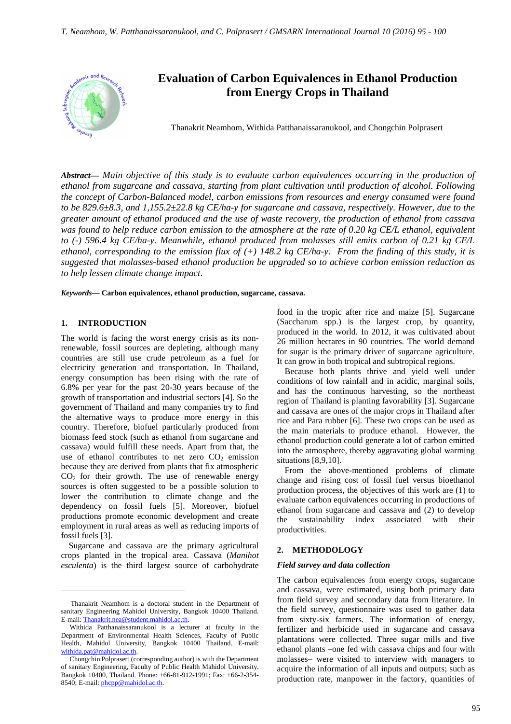

# **Evaluation of Carbon Equivalences in Ethanol Production from Energy Crops in Thailand**

Thanakrit Neamhom, Withida Patthanaissaranukool, and Chongchin Polprasert

*Abstract***—** *Main objective of this study is to evaluate carbon equivalences occurring in the production of ethanol from sugarcane and cassava, starting from plant cultivation until production of alcohol. Following the concept of Carbon-Balanced model, carbon emissions from resources and energy consumed were found to be 829.6±8.3, and 1,155.2±22.8 kg CE/ha-y for sugarcane and cassava, respectively. However, due to the greater amount of ethanol produced and the use of waste recovery, the production of ethanol from cassava was found to help reduce carbon emission to the atmosphere at the rate of 0.20 kg CE/L ethanol, equivalent to (-) 596.4 kg CE/ha-y. Meanwhile, ethanol produced from molasses still emits carbon of 0.21 kg CE/L ethanol, corresponding to the emission flux of (+) 148.2 kg CE/ha-y. From the finding of this study, it is suggested that molasses-based ethanol production be upgraded so to achieve carbon emission reduction as to help lessen climate change impact.*

*Keywords***— Carbon equivalences, ethanol production, sugarcane, cassava.**

#### **1. INTRODUCTION**

 $\overline{a}$ 

The world is facing the worst energy crisis as its nonrenewable, fossil sources are depleting, although many countries are still use crude petroleum as a fuel for electricity generation and transportation. In Thailand, energy consumption has been rising with the rate of 6.8% per year for the past 20-30 years because of the growth of transportation and industrial sectors [4]. So the government of Thailand and many companies try to find the alternative ways to produce more energy in this country. Therefore, biofuel particularly produced from biomass feed stock (such as ethanol from sugarcane and cassava) would fulfill these needs. Apart from that, the use of ethanol contributes to net zero  $CO<sub>2</sub>$  emission because they are derived from plants that fix atmospheric  $CO<sub>2</sub>$  for their growth. The use of renewable energy sources is often suggested to be a possible solution to lower the contribution to climate change and the dependency on fossil fuels [5]. Moreover, biofuel productions promote economic development and create employment in rural areas as well as reducing imports of fossil fuels [3].

Sugarcane and cassava are the primary agricultural crops planted in the tropical area. Cassava (*Manihot esculenta*) is the third largest source of carbohydrate

food in the tropic after rice and maize [5]. Sugarcane (Saccharum spp.) is the largest crop, by quantity, produced in the world. In 2012, it was cultivated about 26 million hectares in 90 countries. The world demand for sugar is the primary driver of sugarcane agriculture. It can grow in both tropical and subtropical regions.

Because both plants thrive and yield well under conditions of low rainfall and in acidic, marginal soils, and has the continuous harvesting, so the northeast region of Thailand is planting favorability [3]. Sugarcane and cassava are ones of the major crops in Thailand after rice and Para rubber [6]. These two crops can be used as the main materials to produce ethanol. However, the ethanol production could generate a lot of carbon emitted into the atmosphere, thereby aggravating global warming situations [8,9,10].

From the above-mentioned problems of climate change and rising cost of fossil fuel versus bioethanol production process, the objectives of this work are (1) to evaluate carbon equivalences occurring in productions of ethanol from sugarcane and cassava and (2) to develop the sustainability index associated with their productivities.

# **2. METHODOLOGY**

### *Field survey and data collection*

The carbon equivalences from energy crops, sugarcane and cassava, were estimated, using both primary data from field survey and secondary data from literature. In the field survey, questionnaire was used to gather data from sixty-six farmers. The information of energy, fertilizer and herbicide used in sugarcane and cassava plantations were collected. Three sugar mills and five ethanol plants –one fed with cassava chips and four with molasses– were visited to interview with managers to acquire the information of all inputs and outputs; such as production rate, manpower in the factory, quantities of

Thanakrit Neamhom is a doctoral student in the Department of sanitary Engineering Mahidol University, Bangkok 10400 Thailand. E-mail: Thanakrit.nea@student.mahidol.ac.th.

Withida Patthanaissaranukool is a lecturer at faculty in the Department of Environmental Health Sciences, Faculty of Public Health, Mahidol University, Bangkok 10400 Thailand. E-mail: withida.pat@mahidol.ac.th.

Chongchin Polprasert (corresponding author) is with the Department of sanitary Engineering, Faculty of Public Health Mahidol University. Bangkok 10400, Thailand. Phone: +66-81-912-1991; Fax: +66-2-354- 8540; E-mail: phcpp@mahidol.ac.th.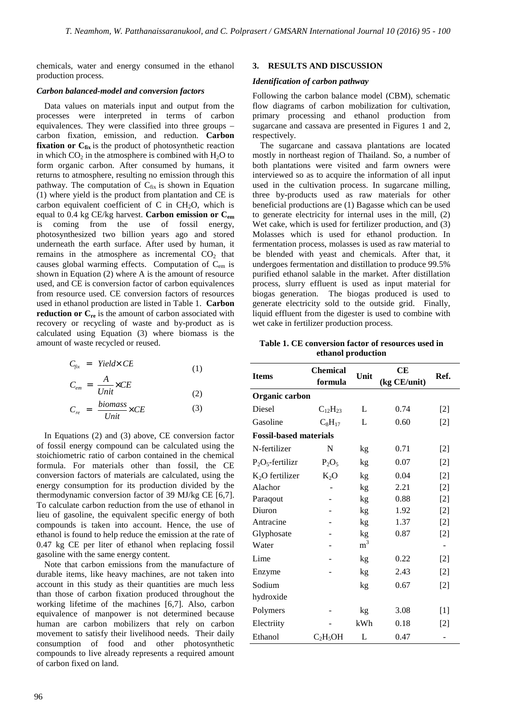chemicals, water and energy consumed in the ethanol production process.

#### *Carbon balanced-model and conversion factors*

Data values on materials input and output from the processes were interpreted in terms of carbon equivalences. They were classified into three groups – carbon fixation, emission, and reduction. **Carbon fixation or C<sub>fix</sub>** is the product of photosynthetic reaction in which  $CO<sub>2</sub>$  in the atmosphere is combined with  $H<sub>2</sub>O$  to form organic carbon. After consumed by humans, it returns to atmosphere, resulting no emission through this pathway. The computation of  $C_{fix}$  is shown in Equation (1) where yield is the product from plantation and CE is carbon equivalent coefficient of  $C$  in  $CH<sub>2</sub>O$ , which is equal to 0.4 kg CE/kg harvest. **Carbon emission or Cem**  is coming from the use of fossil energy, photosynthesized two billion years ago and stored underneath the earth surface. After used by human, it remains in the atmosphere as incremental  $CO<sub>2</sub>$  that causes global warming effects. Computation of C<sub>em</sub> is shown in Equation (2) where A is the amount of resource used, and CE is conversion factor of carbon equivalences from resource used. CE conversion factors of resources used in ethanol production are listed in Table 1. **Carbon reduction or C<sub>re</sub>** is the amount of carbon associated with recovery or recycling of waste and by-product as is calculated using Equation (3) where biomass is the amount of waste recycled or reused.

$$
C_{fix} = Yield \times CE \tag{1}
$$

$$
C_{em} = \frac{A}{Unit} \times CE
$$
\n
$$
binom{0}{1}
$$
\n
$$
binom{0}{1}
$$
\n
$$
(2)
$$

$$
C_{re} = \frac{biomass}{Unit} \times CE \tag{3}
$$

In Equations (2) and (3) above, CE conversion factor of fossil energy compound can be calculated using the stoichiometric ratio of carbon contained in the chemical formula. For materials other than fossil, the CE conversion factors of materials are calculated, using the energy consumption for its production divided by the thermodynamic conversion factor of 39 MJ/kg CE [6,7]. To calculate carbon reduction from the use of ethanol in lieu of gasoline, the equivalent specific energy of both compounds is taken into account. Hence, the use of ethanol is found to help reduce the emission at the rate of 0.47 kg CE per liter of ethanol when replacing fossil gasoline with the same energy content.

Note that carbon emissions from the manufacture of durable items, like heavy machines, are not taken into account in this study as their quantities are much less than those of carbon fixation produced throughout the working lifetime of the machines [6,7]. Also, carbon equivalence of manpower is not determined because human are carbon mobilizers that rely on carbon movement to satisfy their livelihood needs. Their daily consumption of food and other photosynthetic compounds to live already represents a required amount of carbon fixed on land.

## **3. RESULTS AND DISCUSSION**

#### *Identification of carbon pathway*

Following the carbon balance model (CBM), schematic flow diagrams of carbon mobilization for cultivation, primary processing and ethanol production from sugarcane and cassava are presented in Figures 1 and 2, respectively.

The sugarcane and cassava plantations are located mostly in northeast region of Thailand. So, a number of both plantations were visited and farm owners were interviewed so as to acquire the information of all input used in the cultivation process. In sugarcane milling, three by-products used as raw materials for other beneficial productions are (1) Bagasse which can be used to generate electricity for internal uses in the mill, (2) Wet cake, which is used for fertilizer production, and (3) Molasses which is used for ethanol production. In fermentation process, molasses is used as raw material to be blended with yeast and chemicals. After that, it undergoes fermentation and distillation to produce 99.5% purified ethanol salable in the market. After distillation process, slurry effluent is used as input material for biogas generation. The biogas produced is used to generate electricity sold to the outside grid. Finally, liquid effluent from the digester is used to combine with wet cake in fertilizer production process.

**Table 1. CE conversion factor of resources used in ethanol production**

| <b>Items</b>                  | <b>Chemical</b><br>formula | Unit      | <b>CE</b><br>(kg CE/unit) | Ref.  |  |  |
|-------------------------------|----------------------------|-----------|---------------------------|-------|--|--|
| Organic carbon                |                            |           |                           |       |  |  |
| Diesel                        | $C_{12}H_{23}$             | L         | 0.74                      | $[2]$ |  |  |
| Gasoline                      | $C_8H_{17}$                | L         | 0.60                      | $[2]$ |  |  |
| <b>Fossil-based materials</b> |                            |           |                           |       |  |  |
| N-fertilizer                  | N                          | kg        | 0.71                      | $[2]$ |  |  |
| $P_2O_5$ -fertilizr           | $P_2O_5$                   | kg        | 0.07                      | $[2]$ |  |  |
| $K2O$ fertilizer              | $K_2O$                     | kg        | 0.04                      | $[2]$ |  |  |
| Alachor                       |                            | kg        | 2.21                      | $[2]$ |  |  |
| Paraqout                      |                            | kg        | 0.88                      | $[2]$ |  |  |
| Diuron                        |                            | kg        | 1.92                      | $[2]$ |  |  |
| Antracine                     |                            | kg        | 1.37                      | $[2]$ |  |  |
| Glyphosate                    |                            | kg        | 0.87                      | $[2]$ |  |  |
| Water                         |                            | $\rm m^3$ |                           |       |  |  |
| Lime                          |                            | kg        | 0.22                      | $[2]$ |  |  |
| Enzyme                        |                            | kg        | 2.43                      | $[2]$ |  |  |
| Sodium                        |                            | kg        | 0.67                      | $[2]$ |  |  |
| hydroxide                     |                            |           |                           |       |  |  |
| Polymers                      |                            | kg        | 3.08                      | $[1]$ |  |  |
| Electriity                    |                            | kWh       | 0.18                      | $[2]$ |  |  |
| Ethanol                       | $C_2H_5OH$                 | L         | 0.47                      |       |  |  |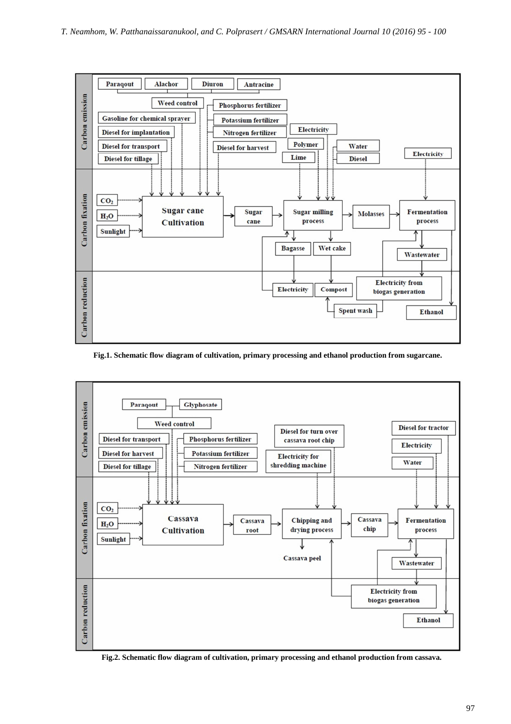

**Fig.1. Schematic flow diagram of cultivation, primary processing and ethanol production from sugarcane.** 



**Fig.2. Schematic flow diagram of cultivation, primary processing and ethanol production from cassava.**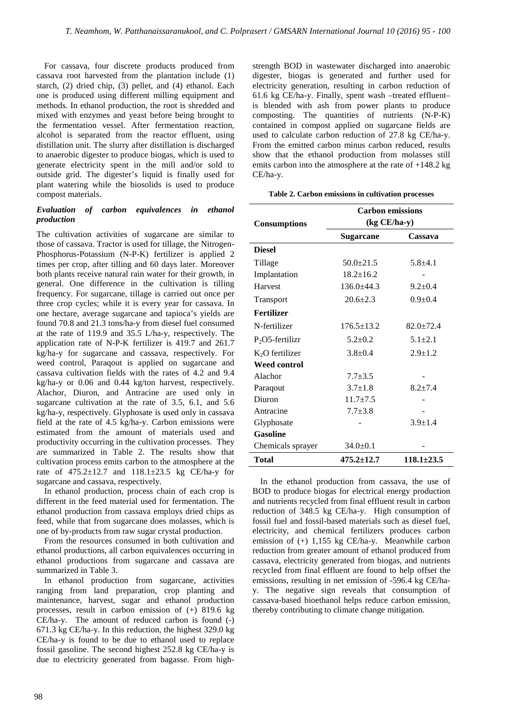For cassava, four discrete products produced from cassava root harvested from the plantation include (1) starch, (2) dried chip, (3) pellet, and (4) ethanol. Each one is produced using different milling equipment and methods. In ethanol production, the root is shredded and mixed with enzymes and yeast before being brought to the fermentation vessel. After fermentation reaction, alcohol is separated from the reactor effluent, using distillation unit. The slurry after distillation is discharged to anaerobic digester to produce biogas, which is used to generate electricity spent in the mill and/or sold to outside grid. The digester's liquid is finally used for plant watering while the biosolids is used to produce compost materials.

# *Evaluation of carbon equivalences in ethanol production*

The cultivation activities of sugarcane are similar to those of cassava. Tractor is used for tillage, the Nitrogen-Phosphorus-Potassium (N-P-K) fertilizer is applied 2 times per crop, after tilling and 60 days later. Moreover both plants receive natural rain water for their growth, in general. One difference in the cultivation is tilling frequency. For sugarcane, tillage is carried out once per three crop cycles; while it is every year for cassava. In one hectare, average sugarcane and tapioca's yields are found 70.8 and 21.3 tons/ha-y from diesel fuel consumed at the rate of 119.9 and 35.5 L/ha-y, respectively. The application rate of N-P-K fertilizer is 419.7 and 261.7 kg/ha-y for sugarcane and cassava, respectively. For weed control, Paraqout is applied on sugarcane and cassava cultivation fields with the rates of 4.2 and 9.4 kg/ha-y or 0.06 and 0.44 kg/ton harvest, respectively. Alachor, Diuron, and Antracine are used only in sugarcane cultivation at the rate of 3.5, 6.1, and 5.6 kg/ha-y, respectively. Glyphosate is used only in cassava field at the rate of 4.5 kg/ha-y. Carbon emissions were estimated from the amount of materials used and productivity occurring in the cultivation processes. They are summarized in Table 2. The results show that cultivation process emits carbon to the atmosphere at the rate of 475.2±12.7 and 118.1±23.5 kg CE/ha-y for sugarcane and cassava, respectively.

In ethanol production, process chain of each crop is different in the feed material used for fermentation. The ethanol production from cassava employs dried chips as feed, while that from sugarcane does molasses, which is one of by-products from raw sugar crystal production.

From the resources consumed in both cultivation and ethanol productions, all carbon equivalences occurring in ethanol productions from sugarcane and cassava are summarized in Table 3.

In ethanol production from sugarcane, activities ranging from land preparation, crop planting and maintenance, harvest, sugar and ethanol production processes, result in carbon emission of (+) 819.6 kg CE/ha-y. The amount of reduced carbon is found (-) 671.3 kg CE/ha-y. In this reduction, the highest 329.0 kg CE/ha-y is found to be due to ethanol used to replace fossil gasoline. The second highest 252.8 kg CE/ha-y is due to electricity generated from bagasse. From highstrength BOD in wastewater discharged into anaerobic digester, biogas is generated and further used for electricity generation, resulting in carbon reduction of 61.6 kg CE/ha-y. Finally, spent wash –treated effluent– is blended with ash from power plants to produce composting. The quantities of nutrients (N-P-K) contained in compost applied on sugarcane fields are used to calculate carbon reduction of 27.8 kg CE/ha-y. From the emitted carbon minus carbon reduced, results show that the ethanol production from molasses still emits carbon into the atmosphere at the rate of +148.2 kg CE/ha-y.

|  |  |  |  | Table 2. Carbon emissions in cultivation processes |  |
|--|--|--|--|----------------------------------------------------|--|
|--|--|--|--|----------------------------------------------------|--|

|                     | <b>Carbon emissions</b> |                  |  |  |  |  |
|---------------------|-------------------------|------------------|--|--|--|--|
| <b>Consumptions</b> | $(kg CE/ha-y)$          |                  |  |  |  |  |
|                     | <b>Sugarcane</b>        | Cassava          |  |  |  |  |
| <b>Diesel</b>       |                         |                  |  |  |  |  |
| Tillage             | $50.0+21.5$             | $5.8 + 4.1$      |  |  |  |  |
| Implantation        | $18.2 + 16.2$           |                  |  |  |  |  |
| Harvest             | $136.0 + 44.3$          | $9.2 + 0.4$      |  |  |  |  |
| Transport           | $20.6 \pm 2.3$          | $0.9 + 0.4$      |  |  |  |  |
| <b>Fertilizer</b>   |                         |                  |  |  |  |  |
| N-fertilizer        | $176.5 \pm 13.2$        | $82.0 \pm 72.4$  |  |  |  |  |
| $P_2$ O5-fertilizr  | $5.2 + 0.2$             | $5.1 + 2.1$      |  |  |  |  |
| $K2O$ fertilizer    | $3.8 + 0.4$             | $2.9 \pm 1.2$    |  |  |  |  |
| <b>Weed control</b> |                         |                  |  |  |  |  |
| Alachor             | $7.7 + 3.5$             |                  |  |  |  |  |
| Paraqout            | $3.7 + 1.8$             | $8.2 + 7.4$      |  |  |  |  |
| Diuron              | $11.7 + 7.5$            |                  |  |  |  |  |
| Antracine           | $7.7 + 3.8$             |                  |  |  |  |  |
| Glyphosate          |                         | $3.9 + 1.4$      |  |  |  |  |
| Gasoline            |                         |                  |  |  |  |  |
| Chemicals sprayer   | $34.0 \pm 0.1$          |                  |  |  |  |  |
| Total               | $475.2 \pm 12.7$        | $118.1 \pm 23.5$ |  |  |  |  |

In the ethanol production from cassava, the use of BOD to produce biogas for electrical energy production and nutrients recycled from final effluent result in carbon reduction of 348.5 kg CE/ha-y. High consumption of fossil fuel and fossil-based materials such as diesel fuel, electricity, and chemical fertilizers produces carbon emission of (+) 1,155 kg CE/ha-y. Meanwhile carbon reduction from greater amount of ethanol produced from cassava, electricity generated from biogas, and nutrients recycled from final effluent are found to help offset the emissions, resulting in net emission of -596.4 kg CE/hay. The negative sign reveals that consumption of cassava-based bioethanol helps reduce carbon emission, thereby contributing to climate change mitigation.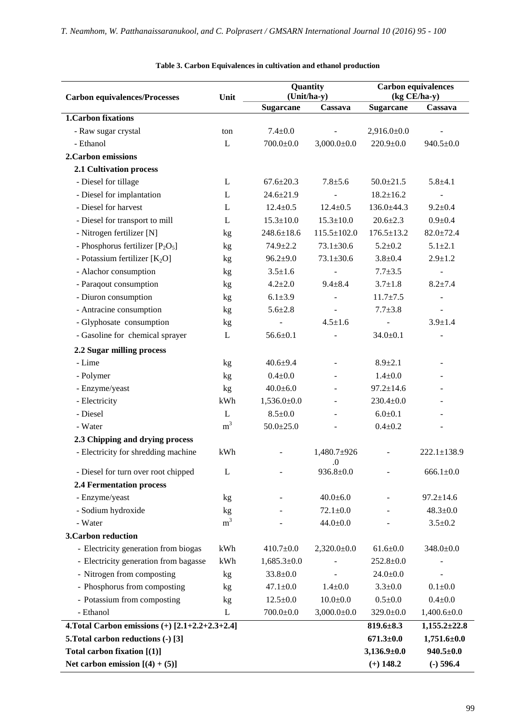| <b>Carbon equivalences/Processes</b>              | Unit           | Quantity<br>(Unit/ha-y) |                    | <b>Carbon equivalences</b><br>(kg CE/ha-y) |                              |
|---------------------------------------------------|----------------|-------------------------|--------------------|--------------------------------------------|------------------------------|
|                                                   |                | <b>Sugarcane</b>        | Cassava            | <b>Sugarcane</b>                           | Cassava                      |
| <b>1. Carbon fixations</b>                        |                |                         |                    |                                            |                              |
| - Raw sugar crystal                               | ton            | $7.4 + 0.0$             |                    | $2,916.0 \pm 0.0$                          |                              |
| - Ethanol                                         | L              | $700.0 \pm 0.0$         | $3,000.0 \pm 0.0$  | $220.9 \pm 0.0$                            | $940.5 \pm 0.0$              |
| 2. Carbon emissions                               |                |                         |                    |                                            |                              |
| 2.1 Cultivation process                           |                |                         |                    |                                            |                              |
| - Diesel for tillage                              | L              | $67.6 \pm 20.3$         | $7.8 + 5.6$        | $50.0 \pm 21.5$                            | $5.8 + 4.1$                  |
| - Diesel for implantation                         | L              | $24.6 \pm 21.9$         |                    | $18.2 \pm 16.2$                            |                              |
| - Diesel for harvest                              | L              | $12.4 \pm 0.5$          | $12.4 \pm 0.5$     | $136.0 \pm 44.3$                           | $9.2 \pm 0.4$                |
| - Diesel for transport to mill                    | L              | $15.3 \pm 10.0$         | $15.3 \pm 10.0$    | $20.6 \pm 2.3$                             | $0.9 + 0.4$                  |
| - Nitrogen fertilizer [N]                         | kg             | $248.6 \pm 18.6$        | $115.5 \pm 102.0$  | $176.5 \pm 13.2$                           | $82.0 \pm 72.4$              |
| - Phosphorus fertilizer $[P_2O_5]$                | kg             | $74.9 \pm 2.2$          | $73.1 \pm 30.6$    | $5.2 \pm 0.2$                              | $5.1 \pm 2.1$                |
| - Potassium fertilizer [K <sub>2</sub> O]         | kg             | $96.2{\pm}9.0$          | $73.1 \pm 30.6$    | $3.8 \pm 0.4$                              | $2.9 \pm 1.2$                |
| - Alachor consumption                             | kg             | $3.5 \pm 1.6$           |                    | $7.7 + 3.5$                                | $\qquad \qquad \blacksquare$ |
| - Paraqout consumption                            | kg             | $4.2 \pm 2.0$           | $9.4 \pm 8.4$      | $3.7 \pm 1.8$                              | $8.2 \pm 7.4$                |
| - Diuron consumption                              | kg             | $6.1 \pm 3.9$           |                    | $11.7 \pm 7.5$                             |                              |
| - Antracine consumption                           | kg             | $5.6 \pm 2.8$           |                    | $7.7 + 3.8$                                |                              |
| - Glyphosate consumption                          | kg             |                         | $4.5 \pm 1.6$      |                                            | $3.9 \pm 1.4$                |
| - Gasoline for chemical sprayer                   | L              | $56.6 \pm 0.1$          |                    | $34.0 + 0.1$                               |                              |
| 2.2 Sugar milling process                         |                |                         |                    |                                            |                              |
| - Lime                                            | kg             | $40.6 + 9.4$            |                    | $8.9 \pm 2.1$                              |                              |
| - Polymer                                         | kg             | $0.4 + 0.0$             |                    | $1.4 + 0.0$                                |                              |
| - Enzyme/yeast                                    | kg             | $40.0 \pm 6.0$          |                    | $97.2 \pm 14.6$                            |                              |
| - Electricity                                     | kWh            | $1,536.0 \pm 0.0$       |                    | $230.4 \pm 0.0$                            |                              |
| - Diesel                                          | L              | $8.5 \pm 0.0$           |                    | $6.0 + 0.1$                                |                              |
| - Water                                           | m <sup>3</sup> | $50.0 \pm 25.0$         |                    | $0.4 + 0.2$                                |                              |
| 2.3 Chipping and drying process                   |                |                         |                    |                                            |                              |
| - Electricity for shredding machine               | kWh            |                         | 1,480.7±926<br>(1) |                                            | $222.1 \pm 138.9$            |
| - Diesel for turn over root chipped               | L              |                         | $936.8 \pm 0.0$    |                                            | $666.1 \pm 0.0$              |
| <b>2.4 Fermentation process</b>                   |                |                         |                    |                                            |                              |
| - Enzyme/yeast                                    | kg             |                         | $40.0 + 6.0$       |                                            | $97.2 \pm 14.6$              |
| - Sodium hydroxide                                | kg             |                         | $72.1 \pm 0.0$     |                                            | $48.3 \pm 0.0$               |
| - Water                                           | m <sup>3</sup> |                         | $44.0 \pm 0.0$     |                                            | $3.5 \pm 0.2$                |
| <b>3. Carbon reduction</b>                        |                |                         |                    |                                            |                              |
| - Electricity generation from biogas              | kWh            | $410.7 \pm 0.0$         | $2,320.0 \pm 0.0$  | $61.6 \pm 0.0$                             | $348.0 \pm 0.0$              |
| - Electricity generation from bagasse             | kWh            | $1,685.3 \pm 0.0$       |                    | $252.8 \pm 0.0$                            |                              |
| - Nitrogen from composting                        | kg             | $33.8 \pm 0.0$          |                    | $24.0 \pm 0.0$                             |                              |
| - Phosphorus from composting                      | kg             | $47.1 \pm 0.0$          | $1.4 \pm 0.0$      | $3.3 \pm 0.0$                              | $0.1 + 0.0$                  |
| - Potassium from composting                       | kg             | $12.5 \pm 0.0$          | $10.0 + 0.0$       | $0.5 \pm 0.0$                              | $0.4 + 0.0$                  |
| - Ethanol                                         | L              | $700.0 \pm 0.0$         | $3,000.0 \pm 0.0$  | $329.0 \pm 0.0$                            | $1,400.6 \pm 0.0$            |
| 4. Total Carbon emissions $(+)$ [2.1+2.2+2.3+2.4] |                |                         |                    | $819.6 \pm 8.3$                            | $1,155.2 \pm 22.8$           |
| 5. Total carbon reductions (-) [3]                |                |                         |                    | $671.3 \pm 0.0$                            | $1,751.6 \pm 0.0$            |
| Total carbon fixation $[(1)]$                     |                |                         |                    | $3,136.9\pm0.0$                            | $940.5 \pm 0.0$              |
| Net carbon emission $[(4) + (5)]$                 |                |                         |                    | $(+)$ 148.2                                | $(-)$ 596.4                  |

# **Table 3. Carbon Equivalences in cultivation and ethanol production**